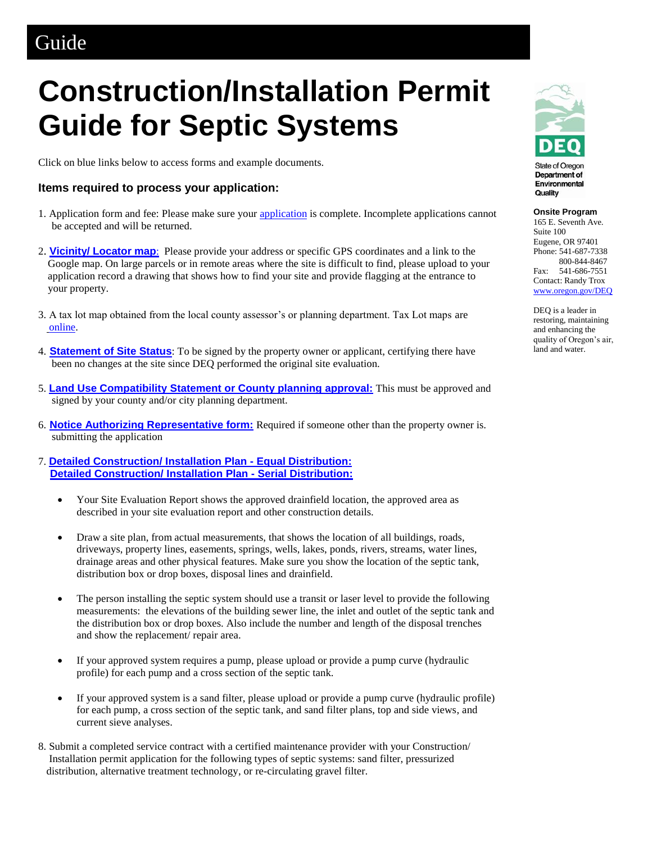## Guide

## **Construction/Installation Permit Guide for Septic Systems**

Click on blue links below to access forms and example documents.

## **Items required to process your application:**

- 1. Application form and fee: Please make sure your [application](https://aca.oregon.accela.com/oregon/) is complete. Incomplete applications cannot be accepted and will be returned.
- 2. **[Vicinity/ Locator map](http://www.ormap.net/)**: Please provide your address or specific GPS coordinates and a link to the Google map. On large parcels or in remote areas where the site is difficult to find, please upload to your application record a drawing that shows how to find your site and provide flagging at the entrance to your property.
- 3. A tax lot map obtained from the local county assessor's or planning department. Tax Lot maps are [online.](http://www.ormap.net/)
- 4. **[Statement of Site Status](http://www.oregon.gov/deq/FilterDocs/os-sitestatus.pdf)**: To be signed by the property owner or applicant, certifying there have been no changes at the site since DEQ performed the original site evaluation.
- 5. **[Land Use Compatibility Statement or County planning approval:](http://www.oregon.gov/deq/FilterDocs/onsitelucs.pdf)** This must be approved and signed by your county and/or city planning department.
- 6. **[Notice Authorizing Representative form:](http://www.oregon.gov/deq/FilterDocs/os-AuthRep.pdf)** Required if someone other than the property owner is. submitting the application

7. **[Detailed Construction/ Installation Plan -](http://www.oregon.gov/deq/FilterDocs/os-SDP-EqualDistribution.pdf) Equal Distribution: [Detailed Construction/ Installation Plan -](http://www.oregon.gov/deq/FilterDocs/os-SDP-SerialDistribution.pdf) Serial Distribution:**

- Your Site Evaluation Report shows the approved drainfield location, the approved area as described in your site evaluation report and other construction details.
- Draw a site plan, from actual measurements, that shows the location of all buildings, roads, driveways, property lines, easements, springs, wells, lakes, ponds, rivers, streams, water lines, drainage areas and other physical features. Make sure you show the location of the septic tank, distribution box or drop boxes, disposal lines and drainfield.
- The person installing the septic system should use a transit or laser level to provide the following measurements: the elevations of the building sewer line, the inlet and outlet of the septic tank and the distribution box or drop boxes. Also include the number and length of the disposal trenches and show the replacement/ repair area.
- If your approved system requires a pump, please upload or provide a pump curve (hydraulic profile) for each pump and a cross section of the septic tank.
- If your approved system is a sand filter, please upload or provide a pump curve (hydraulic profile) for each pump, a cross section of the septic tank, and sand filter plans, top and side views, and current sieve analyses.
- 8. Submit a completed service contract with a certified maintenance provider with your Construction/ Installation permit application for the following types of septic systems: sand filter, pressurized distribution, alternative treatment technology, or re-circulating gravel filter.



Department of Environmental Quality

**Onsite Program** 

165 E. Seventh Ave. Suite 100 Eugene, OR 97401 Phone: 541-687-7338 800-844-8467 Fax: 541-686-7551 Contact: Randy Trox [www.oregon.gov/DEQ](http://www.oregon.gov/DEQ)

DEQ is a leader in restoring, maintaining and enhancing the quality of Oregon's air, land and water